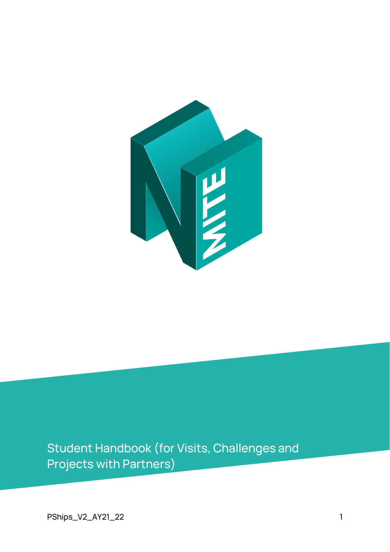

Student Handbook (for Visits, Challenges and Projects with Partners)

PShips\_V2\_AY21\_22 1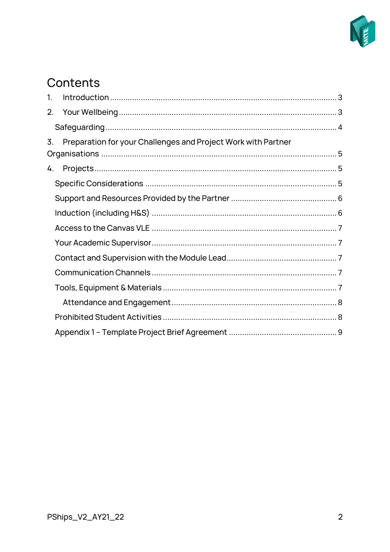

# Contents

| 1. |                                                               |  |  |  |  |  |  |
|----|---------------------------------------------------------------|--|--|--|--|--|--|
|    |                                                               |  |  |  |  |  |  |
|    |                                                               |  |  |  |  |  |  |
| 3. | Preparation for your Challenges and Project Work with Partner |  |  |  |  |  |  |
|    |                                                               |  |  |  |  |  |  |
| 4. |                                                               |  |  |  |  |  |  |
|    |                                                               |  |  |  |  |  |  |
|    |                                                               |  |  |  |  |  |  |
|    |                                                               |  |  |  |  |  |  |
|    |                                                               |  |  |  |  |  |  |
|    |                                                               |  |  |  |  |  |  |
|    |                                                               |  |  |  |  |  |  |
|    |                                                               |  |  |  |  |  |  |
|    |                                                               |  |  |  |  |  |  |
|    |                                                               |  |  |  |  |  |  |
|    |                                                               |  |  |  |  |  |  |
|    |                                                               |  |  |  |  |  |  |
|    |                                                               |  |  |  |  |  |  |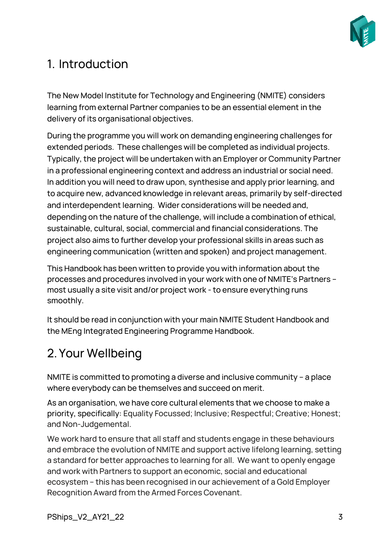

# <span id="page-2-0"></span>1. Introduction

The New Model Institute for Technology and Engineering (NMITE) considers learning from external Partner companies to be an essential element in the delivery of its organisational objectives.

During the programme you will work on demanding engineering challenges for extended periods. These challenges will be completed as individual projects. Typically, the project will be undertaken with an Employer or Community Partner in a professional engineering context and address an industrial or social need. In addition you will need to draw upon, synthesise and apply prior learning, and to acquire new, advanced knowledge in relevant areas, primarily by self-directed and interdependent learning. Wider considerations will be needed and, depending on the nature of the challenge, will include a combination of ethical, sustainable, cultural, social, commercial and financial considerations. The project also aims to further develop your professional skills in areas such as engineering communication (written and spoken) and project management.

This Handbook has been written to provide you with information about the processes and procedures involved in your work with one of NMITE's Partners – most usually a site visit and/or project work - to ensure everything runs smoothly.

It should be read in conjunction with your main NMITE Student Handbook and the MEng Integrated Engineering Programme Handbook.

# <span id="page-2-1"></span>2. Your Wellbeing

NMITE is committed to promoting a diverse and inclusive community – a place where everybody can be themselves and succeed on merit.

As an organisation, we have core cultural elements that we choose to make a priority, specifically: Equality Focussed; Inclusive; Respectful; Creative; Honest; and Non-Judgemental.

We work hard to ensure that all staff and students engage in these behaviours and embrace the evolution of NMITE and support active lifelong learning, setting a standard for better approaches to learning for all. We want to openly engage and work with Partners to support an economic, social and educational ecosystem – this has been recognised in our achievement of a Gold Employer Recognition Award from the Armed Forces Covenant.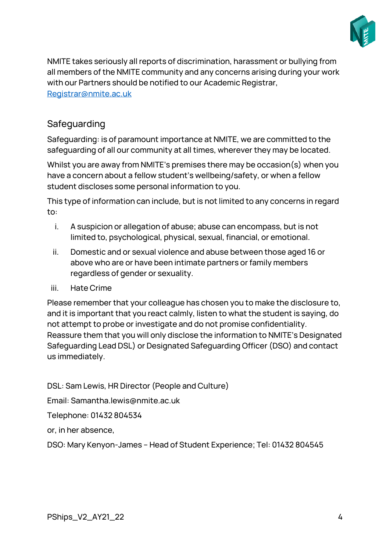

NMITE takes seriously all reports of discrimination, harassment or bullying from all members of the NMITE community and any concerns arising during your work with our Partners should be notified to our Academic Registrar, [Registrar@nmite.ac.uk](mailto:Registrar@nmite.ac.uk)

# <span id="page-3-0"></span>Safeguarding

Safeguarding: is of paramount importance at NMITE, we are committed to the safeguarding of all our community at all times, wherever they may be located.

Whilst you are away from NMITE's premises there may be occasion(s) when you have a concern about a fellow student's wellbeing/safety, or when a fellow student discloses some personal information to you.

This type of information can include, but is not limited to any concerns in regard to:

- i. A suspicion or allegation of abuse; abuse can encompass, but is not limited to, psychological, physical, sexual, financial, or emotional.
- ii. Domestic and or sexual violence and abuse between those aged 16 or above who are or have been intimate partners or family members regardless of gender or sexuality.
- iii. Hate Crime

Please remember that your colleague has chosen you to make the disclosure to, and it is important that you react calmly, listen to what the student is saying, do not attempt to probe or investigate and do not promise confidentiality. Reassure them that you will only disclose the information to NMITE's Designated Safeguarding Lead DSL) or Designated Safeguarding Officer (DSO) and contact us immediately.

DSL: Sam Lewis, HR Director (People and Culture)

Email: Samantha.lewis@nmite.ac.uk

Telephone: 01432 804534

or, in her absence,

DSO: Mary Kenyon-James – Head of Student Experience; Tel: 01432 804545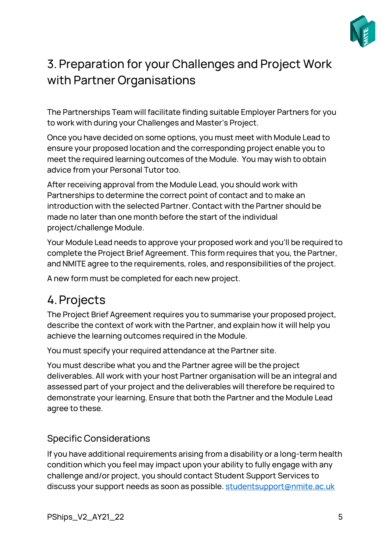

# <span id="page-4-0"></span>3. Preparation for your Challenges and Project Work with Partner Organisations

The Partnerships Team will facilitate finding suitable Employer Partners for you to work with during your Challenges and Master's Project.

Once you have decided on some options, you must meet with Module Lead to ensure your proposed location and the corresponding project enable you to meet the required learning outcomes of the Module. You may wish to obtain advice from your Personal Tutor too.

After receiving approval from the Module Lead, you should work with Partnerships to determine the correct point of contact and to make an introduction with the selected Partner. Contact with the Partner should be made no later than one month before the start of the individual project/challenge Module.

Your Module Lead needs to approve your proposed work and you'll be required to complete the Project Brief Agreement. This form requires that you, the Partner, and NMITE agree to the requirements, roles, and responsibilities of the project.

A new form must be completed for each new project.

# <span id="page-4-1"></span>4.Projects

The Project Brief Agreement requires you to summarise your proposed project, describe the context of work with the Partner, and explain how it will help you achieve the learning outcomes required in the Module.

You must specify your required attendance at the Partner site.

You must describe what you and the Partner agree will be the project deliverables. All work with your host Partner organisation will be an integral and assessed part of your project and the deliverables will therefore be required to demonstrate your learning. Ensure that both the Partner and the Module Lead agree to these.

### <span id="page-4-2"></span>Specific Considerations

If you have additional requirements arising from a disability or a long-term health condition which you feel may impact upon your ability to fully engage with any challenge and/or project, you should contact Student Support Services to discuss your support needs as soon as possible[. studentsupport@nmite.ac.uk](mailto:studentsupport@nmite.ac.uk)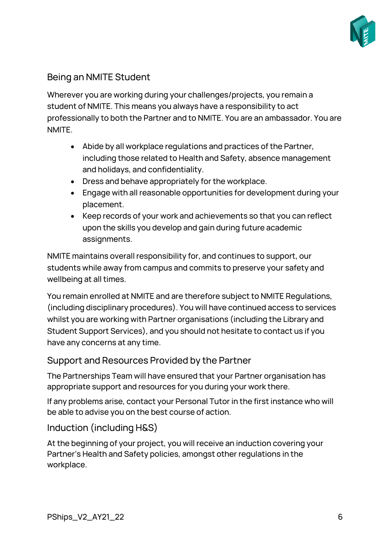

# Being an NMITE Student

Wherever you are working during your challenges/projects, you remain a student of NMITE. This means you always have a responsibility to act professionally to both the Partner and to NMITE. You are an ambassador. You are NMITE.

- Abide by all workplace regulations and practices of the Partner, including those related to Health and Safety, absence management and holidays, and confidentiality.
- Dress and behave appropriately for the workplace.
- Engage with all reasonable opportunities for development during your placement.
- Keep records of your work and achievements so that you can reflect upon the skills you develop and gain during future academic assignments.

NMITE maintains overall responsibility for, and continues to support, our students while away from campus and commits to preserve your safety and wellbeing at all times.

You remain enrolled at NMITE and are therefore subject to NMITE Regulations, (including disciplinary procedures). You will have continued access to services whilst you are working with Partner organisations (including the Library and Student Support Services), and you should not hesitate to contact us if you have any concerns at any time.

### <span id="page-5-0"></span>Support and Resources Provided by the Partner

The Partnerships Team will have ensured that your Partner organisation has appropriate support and resources for you during your work there.

If any problems arise, contact your Personal Tutor in the first instance who will be able to advise you on the best course of action.

# <span id="page-5-1"></span>Induction (including H&S)

At the beginning of your project, you will receive an induction covering your Partner's Health and Safety policies, amongst other regulations in the workplace.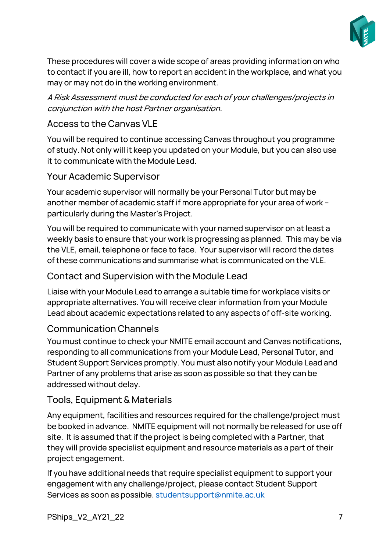

These procedures will cover a wide scope of areas providing information on who to contact if you are ill, how to report an accident in the workplace, and what you may or may not do in the working environment.

A Risk Assessment must be conducted for each of your challenges/projects in conjunction with the host Partner organisation.

### <span id="page-6-0"></span>Access to the Canvas VLE

You will be required to continue accessing Canvas throughout you programme of study. Not only will it keep you updated on your Module, but you can also use it to communicate with the Module Lead.

#### <span id="page-6-1"></span>Your Academic Supervisor

Your academic supervisor will normally be your Personal Tutor but may be another member of academic staff if more appropriate for your area of work – particularly during the Master's Project.

You will be required to communicate with your named supervisor on at least a weekly basis to ensure that your work is progressing as planned. This may be via the VLE, email, telephone or face to face. Your supervisor will record the dates of these communications and summarise what is communicated on the VLE.

#### <span id="page-6-2"></span>Contact and Supervision with the Module Lead

Liaise with your Module Lead to arrange a suitable time for workplace visits or appropriate alternatives. You will receive clear information from your Module Lead about academic expectations related to any aspects of off-site working.

### <span id="page-6-3"></span>Communication Channels

You must continue to check your NMITE email account and Canvas notifications, responding to all communications from your Module Lead, Personal Tutor, and Student Support Services promptly. You must also notify your Module Lead and Partner of any problems that arise as soon as possible so that they can be addressed without delay.

### <span id="page-6-4"></span>Tools, Equipment & Materials

Any equipment, facilities and resources required for the challenge/project must be booked in advance. NMITE equipment will not normally be released for use off site. It is assumed that if the project is being completed with a Partner, that they will provide specialist equipment and resource materials as a part of their project engagement.

If you have additional needs that require specialist equipment to support your engagement with any challenge/project, please contact Student Support Services as soon as possible. [studentsupport@nmite.ac.uk](mailto:studentsupport@nmite.ac.uk)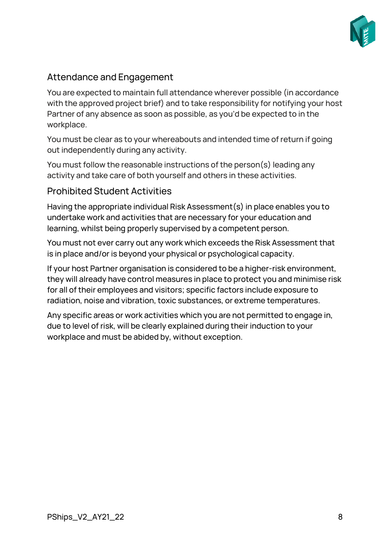

# <span id="page-7-0"></span>Attendance and Engagement

You are expected to maintain full attendance wherever possible (in accordance with the approved project brief) and to take responsibility for notifying your host Partner of any absence as soon as possible, as you'd be expected to in the workplace.

You must be clear as to your whereabouts and intended time of return if going out independently during any activity.

You must follow the reasonable instructions of the person(s) leading any activity and take care of both yourself and others in these activities.

#### <span id="page-7-1"></span>Prohibited Student Activities

Having the appropriate individual Risk Assessment(s) in place enables you to undertake work and activities that are necessary for your education and learning, whilst being properly supervised by a competent person.

You must not ever carry out any work which exceeds the Risk Assessment that is in place and/or is beyond your physical or psychological capacity.

If your host Partner organisation is considered to be a higher-risk environment, they will already have control measures in place to protect you and minimise risk for all of their employees and visitors; specific factors include exposure to radiation, noise and vibration, toxic substances, or extreme temperatures.

Any specific areas or work activities which you are not permitted to engage in, due to level of risk, will be clearly explained during their induction to your workplace and must be abided by, without exception.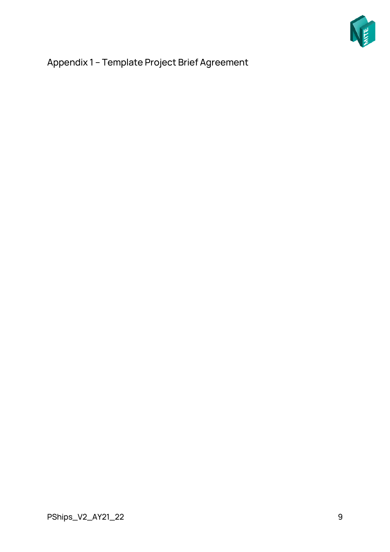

<span id="page-8-0"></span>Appendix 1 – Template Project Brief Agreement